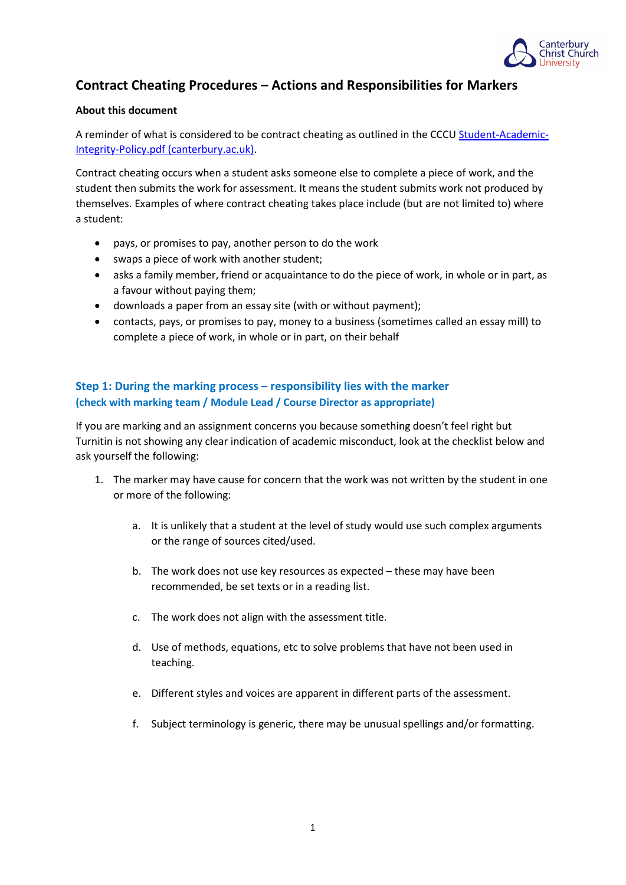

# **Contract Cheating Procedures – Actions and Responsibilities for Markers**

### **About this document**

A reminder of what is considered to be contract cheating as outlined in the CCC[U Student-Academic-](https://www.canterbury.ac.uk/learning-and-teaching-enhancement/docs/Student-Academic-Integrity-Policy.pdf)[Integrity-Policy.pdf \(canterbury.ac.uk\).](https://www.canterbury.ac.uk/learning-and-teaching-enhancement/docs/Student-Academic-Integrity-Policy.pdf)

Contract cheating occurs when a student asks someone else to complete a piece of work, and the student then submits the work for assessment. It means the student submits work not produced by themselves. Examples of where contract cheating takes place include (but are not limited to) where a student:

- pays, or promises to pay, another person to do the work
- swaps a piece of work with another student;
- asks a family member, friend or acquaintance to do the piece of work, in whole or in part, as a favour without paying them;
- downloads a paper from an essay site (with or without payment);
- contacts, pays, or promises to pay, money to a business (sometimes called an essay mill) to complete a piece of work, in whole or in part, on their behalf

### **Step 1: During the marking process – responsibility lies with the marker (check with marking team / Module Lead / Course Director as appropriate)**

If you are marking and an assignment concerns you because something doesn't feel right but Turnitin is not showing any clear indication of academic misconduct, look at the checklist below and ask yourself the following:

- 1. The marker may have cause for concern that the work was not written by the student in one or more of the following:
	- a. It is unlikely that a student at the level of study would use such complex arguments or the range of sources cited/used.
	- b. The work does not use key resources as expected these may have been recommended, be set texts or in a reading list.
	- c. The work does not align with the assessment title.
	- d. Use of methods, equations, etc to solve problems that have not been used in teaching.
	- e. Different styles and voices are apparent in different parts of the assessment.
	- f. Subject terminology is generic, there may be unusual spellings and/or formatting.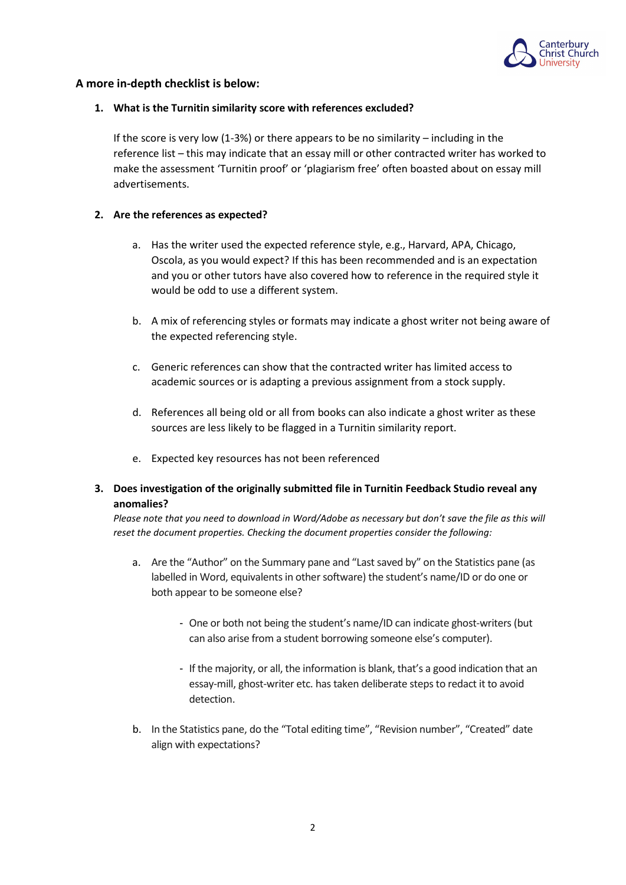

### **A more in-depth checklist is below:**

#### **1. What is the Turnitin similarity score with references excluded?**

If the score is very low (1-3%) or there appears to be no similarity – including in the reference list – this may indicate that an essay mill or other contracted writer has worked to make the assessment 'Turnitin proof' or 'plagiarism free' often boasted about on essay mill advertisements.

#### **2. Are the references as expected?**

- a. Has the writer used the expected reference style, e.g., Harvard, APA, Chicago, Oscola, as you would expect? If this has been recommended and is an expectation and you or other tutors have also covered how to reference in the required style it would be odd to use a different system.
- b. A mix of referencing styles or formats may indicate a ghost writer not being aware of the expected referencing style.
- c. Generic references can show that the contracted writer has limited access to academic sources or is adapting a previous assignment from a stock supply.
- d. References all being old or all from books can also indicate a ghost writer as these sources are less likely to be flagged in a Turnitin similarity report.
- e. Expected key resources has not been referenced
- **3. Does investigation of the originally submitted file in Turnitin Feedback Studio reveal any anomalies?**

*Please note that you need to download in Word/Adobe as necessary but don't save the file as this will reset the document properties. Checking the document properties consider the following:*

- a. Are the "Author" on the Summary pane and "Last saved by" on the Statistics pane (as labelled in Word, equivalents in other software) the student's name/ID or do one or both appear to be someone else?
	- One or both not being the student's name/ID can indicate ghost-writers (but can also arise from a student borrowing someone else's computer).
	- If the majority, or all, the information is blank, that's a good indication that an essay-mill, ghost-writer etc. has taken deliberate steps to redact it to avoid detection.
- b. In the Statistics pane, do the "Total editing time", "Revision number", "Created" date align with expectations?